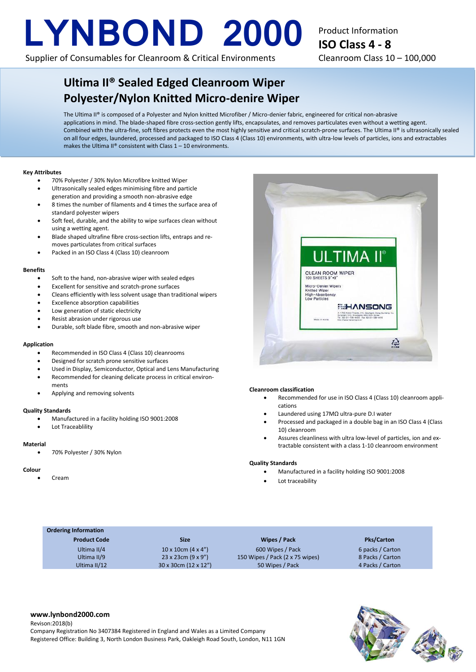# **LYNBOND 2000**

Supplier of Consumables for Cleanroom & Critical Environments

# Product Information **ISO Class 4 - 8** Cleanroom Class 10 – 100,000

# **Ultima II® Sealed Edged Cleanroom Wiper Polyester/Nylon Knitted Micro-denire Wiper**

The Ultima II® is composed of a Polyester and Nylon knitted Microfiber / Micro-denier fabric, engineered for critical non-abrasive applications in mind. The blade-shaped fibre cross-section gently lifts, encapsulates, and removes particulates even without a wetting agent. Combined with the ultra-fine, soft fibres protects even the most highly sensitive and critical scratch-prone surfaces. The Ultima II® is ultrasonically sealed on all four edges, laundered, processed and packaged to ISO Class 4 (Class 10) environments, with ultra-low levels of particles, ions and extractables makes the Ultima II® consistent with Class  $1 - 10$  environments.

## **Key Attributes**

- 70% Polyester / 30% Nylon Microfibre knitted Wiper
- Ultrasonically sealed edges minimising fibre and particle
- generation and providing a smooth non-abrasive edge • 8 times the number of filaments and 4 times the surface area of standard polyester wipers
- Soft feel, durable, and the ability to wipe surfaces clean without using a wetting agent.
- Blade shaped ultrafine fibre cross-section lifts, entraps and removes particulates from critical surfaces
- Packed in an ISO Class 4 (Class 10) cleanroom

## **Benefits**

- Soft to the hand, non-abrasive wiper with sealed edges
- Excellent for sensitive and scratch-prone surfaces
- Cleans efficiently with less solvent usage than traditional wipers
- Excellence absorption capabilities
- Low generation of static electricity
- Resist abrasion under rigorous use
- Durable, soft blade fibre, smooth and non-abrasive wiper

### **Application**

- Recommended in ISO Class 4 (Class 10) cleanrooms
- Designed for scratch prone sensitive surfaces
- Used in Display, Semiconductor, Optical and Lens Manufacturing
- Recommended for cleaning delicate process in critical environments
- Applying and removing solvents

## **Quality Standards**

- Manufactured in a facility holding ISO 9001:2008
- Lot Traceablility

#### **Material**

• 70% Polyester / 30% Nylon

#### **Colour**

• Cream

## **Cleanroom classification**

- Recommended for use in ISO Class 4 (Class 10) cleanroom applications
- Laundered using 17MΩ ultra-pure D.I water
- Processed and packaged in a double bag in an ISO Class 4 (Class 10) cleanroom
- Assures cleanliness with ultra low-level of particles, ion and extractable consistent with a class 1-10 cleanroom environment

### **Quality Standards**

- Manufactured in a facility holding ISO 9001:2008
- Lot traceability

# **Ordering Information**

Ultima II/4 Ultima II/9 Ultima II/12

| Size                               |  |
|------------------------------------|--|
| 10 x 10cm $(4 \times 4)$           |  |
| $23 \times 23$ cm $(9 \times 9'')$ |  |
| $30 \times 30$ cm (12 x 12")       |  |

**Product Code Size Wipes / Pack Pks/Carton** 600 Wipes / Pack 150 Wipes / Pack (2 x 75 wipes) 50 Wipes / Pack

6 packs / Carton 8 Packs / Carton 4 Packs / Carton



Company Registration No 3407384 Registered in England and Wales as a Limited Company Registered Office: Building 3, North London Business Park, Oakleigh Road South, London, N11 1GN